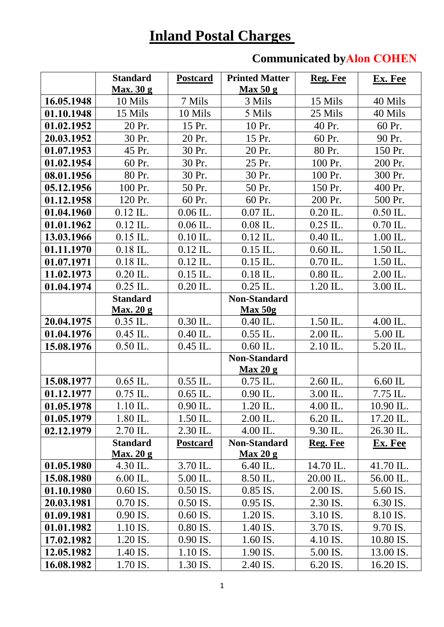## **Inland Postal Charges**

## **Communicated byAlon COHEN**

|            | <b>Standard</b><br>Max. 30 g | <b>Postcard</b> | <b>Printed Matter</b><br>Max 50 g | <b>Reg. Fee</b> | Ex. Fee        |
|------------|------------------------------|-----------------|-----------------------------------|-----------------|----------------|
| 16.05.1948 | 10 Mils                      | 7 Mils          | 3 Mils                            | 15 Mils         | 40 Mils        |
| 01.10.1948 | 15 Mils                      | 10 Mils         | 5 Mils                            | 25 Mils         | 40 Mils        |
| 01.02.1952 | 20 Pr.                       | 15 Pr.          | 10 Pr.                            | 40 Pr.          | 60 Pr.         |
| 20.03.1952 | 30 Pr.                       | 20 Pr.          | 15 Pr.                            | 60 Pr.          | 90 Pr.         |
| 01.07.1953 | 45 Pr.                       | 30 Pr.          | 20 Pr.                            | 80 Pr.          | 150 Pr.        |
| 01.02.1954 | 60 Pr.                       | 30 Pr.          | 25 Pr.                            | 100 Pr.         | 200 Pr.        |
| 08.01.1956 | 80 Pr.                       | 30 Pr.          | 30 Pr.                            | 100 Pr.         | 300 Pr.        |
| 05.12.1956 | 100 Pr.                      | 50 Pr.          | 50 Pr.                            | 150 Pr.         | 400 Pr.        |
| 01.12.1958 | 120 Pr.                      | 60 Pr.          | 60 Pr.                            | 200 Pr.         | 500 Pr.        |
| 01.04.1960 | $0.12$ IL.                   | $0.06$ IL.      | $0.07$ IL.                        | $0.20$ IL.      | $0.50$ IL.     |
| 01.01.1962 | $0.12$ IL.                   | $0.06$ IL.      | $0.08$ IL.                        | $0.25$ IL.      | $0.70$ IL.     |
| 13.03.1966 | $0.15$ IL.                   | $0.10$ IL.      | $0.12$ IL.                        | $0.40$ IL.      | 1.00 IL.       |
| 01.11.1970 | $0.18$ IL.                   | $0.12$ IL.      | $0.15$ IL.                        | $0.60$ IL.      | 1.50 IL.       |
| 01.07.1971 | $0.18$ IL.                   | $0.12$ IL.      | $0.15$ IL.                        | $0.70$ IL.      | $1.50$ IL.     |
| 11.02.1973 | $0.20$ IL.                   | $0.15$ IL.      | $0.18$ IL.                        | $0.80$ IL.      | 2.00 IL.       |
| 01.04.1974 | $0.25$ IL.                   | $0.20$ IL.      | $0.25$ IL.                        | 1.20 IL.        | 3.00 IL.       |
|            | <b>Standard</b>              |                 | <b>Non-Standard</b>               |                 |                |
|            | Max. 20 g                    |                 | Max 50g                           |                 |                |
| 20.04.1975 | $0.35$ IL.                   | $0.30$ IL.      | $0.40$ IL.                        | 1.50 IL.        | 4.00 IL.       |
| 01.04.1976 | $0.45$ IL.                   | $0.40$ IL.      | $0.55$ IL.                        | 2.00 IL.        | 5.00 IL        |
| 15.08.1976 | $0.50$ IL.                   | $0.45$ IL.      | $0.60$ IL.                        | 2.10 IL.        | 5.20 IL.       |
|            |                              |                 | <b>Non-Standard</b>               |                 |                |
| 15.08.1977 | $0.65$ IL.                   | $0.55$ IL.      | Max 20 g<br>$0.75$ IL.            | 2.60 IL.        | $6.60$ IL      |
| 01.12.1977 | $0.75$ IL.                   | $0.65$ IL.      | $0.90$ IL.                        | 3.00 IL.        | 7.75 IL.       |
| 01.05.1978 | $1.10$ IL.                   | $0.90$ IL.      | 1.20 IL.                          | 4.00 IL.        | 10.90 IL.      |
| 01.05.1979 | $1.80$ IL.                   | 1.50 IL.        | 2.00 IL.                          | 6.20 IL.        | 17.20 IL.      |
| 02.12.1979 | 2.70 IL.                     | 2.30 IL.        | 4.00 IL.                          | 9.30 IL.        | 26.30 IL.      |
|            | <b>Standard</b>              | <b>Postcard</b> | <b>Non-Standard</b>               | <b>Reg. Fee</b> | <b>Ex. Fee</b> |
|            | Max. 20 g                    |                 | Max 20 g                          |                 |                |
| 01.05.1980 | $4.30$ IL.                   | 3.70 IL.        | $6.40$ IL.                        | 14.70 IL.       | 41.70 IL.      |
| 15.08.1980 | $6.00$ IL.                   | 5.00 IL.        | 8.50 IL.                          | 20.00 IL.       | 56.00 IL.      |
| 01.10.1980 | $0.60$ IS.                   | $0.50$ IS.      | 0.85 IS.                          | 2.00 IS.        | 5.60 IS.       |
| 20.03.1981 | 0.70 IS.                     | $0.50$ IS.      | $0.95$ IS.                        | 2.30 IS.        | 6.30 IS.       |
| 01.09.1981 | 0.90 IS.                     | $0.60$ IS.      | 1.20 IS.                          | 3.10 IS.        | 8.10 IS.       |
| 01.01.1982 | 1.10 IS.                     | $0.80$ IS.      | 1.40 IS.                          | 3.70 IS.        | 9.70 IS.       |
| 17.02.1982 | 1.20 IS.                     | $0.90$ IS.      | 1.60 IS.                          | 4.10 IS.        | 10.80 IS.      |
| 12.05.1982 | 1.40 IS.                     | 1.10 IS.        | 1.90 IS.                          | 5.00 IS.        | 13.00 IS.      |
| 16.08.1982 | 1.70 IS.                     | 1.30 IS.        | 2.40 IS.                          | 6.20 IS.        | 16.20 IS.      |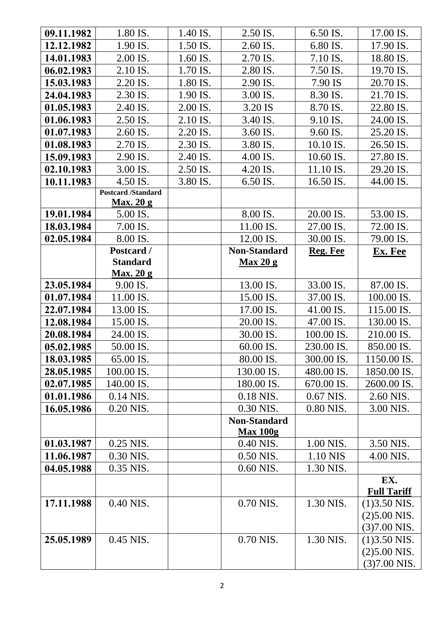| 09.11.1982               | 1.80 IS.                  | 1.40 IS. | 2.50 IS.                               | 6.50 IS.               | 17.00 IS.          |
|--------------------------|---------------------------|----------|----------------------------------------|------------------------|--------------------|
| 12.12.1982               | 1.90 IS.                  | 1.50 IS. | 2.60 IS.                               | 6.80 IS.               | 17.90 IS.          |
| 14.01.1983               | 2.00 IS.                  | 1.60 IS. | 2.70 IS.                               | 7.10 IS.               | 18.80 IS.          |
| 06.02.1983               | 2.10 IS.                  | 1.70 IS. | 2.80 IS.                               | 7.50 IS.               | 19.70 IS.          |
| 15.03.1983               | 2.20 IS.                  | 1.80 IS. | 2.90 IS.                               | 7.90 IS                | 20.70 IS.          |
| 24.04.1983               | 2.30 IS.                  | 1.90 IS. | 3.00 IS.                               | 8.30 IS.               | 21.70 IS.          |
| 01.05.1983               | 2.40 IS.                  | 2.00 IS. | 3.20 IS                                | 8.70 IS.               | 22.80 IS.          |
| 01.06.1983               | 2.50 IS.                  | 2.10 IS. | 3.40 IS.                               | 9.10 IS.               | 24.00 IS.          |
| 01.07.1983               | 2.60 IS.                  | 2.20 IS. | 3.60 IS.                               | 9.60 IS.               | 25.20 IS.          |
| 01.08.1983               | 2.70 IS.                  | 2.30 IS. | 3.80 IS.                               | 10.10 IS.              | 26.50 IS.          |
| 15.09.1983               | 2.90 IS.                  | 2.40 IS. | 4.00 IS.                               | 10.60 IS.              | 27.80 IS.          |
| 02.10.1983               | 3.00 IS.                  | 2.50 IS. | 4.20 IS.                               | 11.10 IS.              | 29.20 IS.          |
| 10.11.1983               | 4.50 IS.                  | 3.80 IS. | 6.50 IS.                               | 16.50 IS.              | 44.00 IS.          |
|                          | <b>Postcard /Standard</b> |          |                                        |                        |                    |
|                          | Max. 20 g                 |          |                                        |                        |                    |
| 19.01.1984               | 5.00 IS.                  |          | 8.00 IS.                               | 20.00 IS.              | 53.00 IS.          |
| 18.03.1984               | 7.00 IS.                  |          | 11.00 IS.                              | 27.00 IS.              | 72.00 IS.          |
| 02.05.1984               | 8.00 IS.                  |          | 12.00 IS.                              | 30.00 IS.              | 79.00 IS.          |
|                          | Postcard /                |          | <b>Non-Standard</b>                    | <b>Reg. Fee</b>        | <b>Ex. Fee</b>     |
|                          | <b>Standard</b>           |          | Max 20 g                               |                        |                    |
|                          | Max.20g                   |          |                                        |                        |                    |
| 23.05.1984               | 9.00 IS.                  |          | 13.00 IS.                              | 33.00 IS.              | 87.00 IS.          |
| 01.07.1984<br>22.07.1984 | 11.00 IS.                 |          | 15.00 IS.                              | 37.00 IS.              | 100.00 IS.         |
| 12.08.1984               | 13.00 IS.<br>15.00 IS.    |          | 17.00 IS.<br>20.00 IS.                 | 41.00 IS.<br>47.00 IS. | 115.00 IS.         |
|                          |                           |          |                                        |                        | 130.00 IS.         |
| 20.08.1984               | 24.00 IS.                 |          | 30.00 IS.                              | 100.00 IS.             | 210.00 IS.         |
| 05.02.1985               | 50.00 IS.                 |          | 60.00 IS.                              | 230.00 IS.             | 850.00 IS.         |
| 18.03.1985               | 65.00 IS.                 |          | 80.00 IS.                              | 300.00 IS.             | 1150.00 IS.        |
| 28.05.1985               | 100.00 IS.                |          | 130.00 IS.                             | 480.00 IS.             | 1850.00 IS.        |
| 02.07.1985               | 140.00 IS.                |          | 180.00 IS.                             | 670.00 IS.             | 2600.00 IS.        |
| 01.01.1986               | 0.14 NIS.                 |          | 0.18 NIS.                              | 0.67 NIS.              | 2.60 NIS.          |
| 16.05.1986               | 0.20 NIS.                 |          | 0.30 NIS.                              | 0.80 NIS.              | 3.00 NIS.          |
|                          |                           |          | <b>Non-Standard</b><br><b>Max 100g</b> |                        |                    |
| 01.03.1987               | 0.25 NIS.                 |          | 0.40 NIS.                              | 1.00 NIS.              | 3.50 NIS.          |
| 11.06.1987               | 0.30 NIS.                 |          | 0.50 NIS.                              | 1.10 NIS               | 4.00 NIS.          |
| 04.05.1988               | 0.35 NIS.                 |          | 0.60 NIS.                              | 1.30 NIS.              |                    |
|                          |                           |          |                                        |                        | EX.                |
|                          |                           |          |                                        |                        | <b>Full Tariff</b> |
| 17.11.1988               | 0.40 NIS.                 |          | 0.70 NIS.                              | 1.30 NIS.              | $(1)3.50$ NIS.     |
|                          |                           |          |                                        |                        | $(2)5.00$ NIS.     |
|                          |                           |          |                                        |                        | $(3)7.00$ NIS.     |
| 25.05.1989               | 0.45 NIS.                 |          | 0.70 NIS.                              | 1.30 NIS.              | $(1)3.50$ NIS.     |
|                          |                           |          |                                        |                        | $(2)5.00$ NIS.     |
|                          |                           |          |                                        |                        | $(3)7.00$ NIS.     |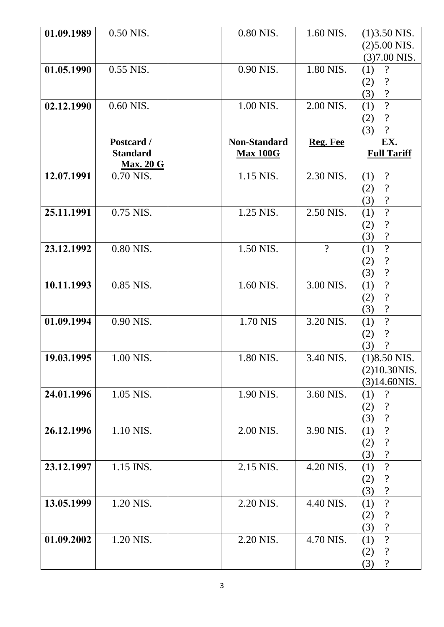| 01.09.1989 | 0.50 NIS.        | 0.80 NIS.           | 1.60 NIS. | $(1)3.50$ NIS.                    |
|------------|------------------|---------------------|-----------|-----------------------------------|
|            |                  |                     |           |                                   |
|            |                  |                     |           | $(2)5.00$ NIS.                    |
|            |                  |                     |           | $(3)7.00$ NIS.                    |
| 01.05.1990 | 0.55 NIS.        | 0.90 NIS.           | 1.80 NIS. | $\overline{\mathcal{L}}$<br>(1)   |
|            |                  |                     |           | $\boldsymbol{?}$<br>(2)           |
|            |                  |                     |           | $\overline{\mathcal{L}}$<br>(3)   |
| 02.12.1990 | 0.60 NIS.        | 1.00 NIS.           | 2.00 NIS. | $\overline{?}$<br>(1)             |
|            |                  |                     |           |                                   |
|            |                  |                     |           | $\boldsymbol{?}$<br>(2)           |
|            |                  |                     |           | $\gamma$<br>(3)                   |
|            | Postcard /       | <b>Non-Standard</b> | Reg. Fee  | EX.                               |
|            | <b>Standard</b>  | <b>Max 100G</b>     |           | <b>Full Tariff</b>                |
|            | <b>Max. 20 G</b> |                     |           |                                   |
| 12.07.1991 | 0.70 NIS.        | 1.15 NIS.           | 2.30 NIS. | $\boldsymbol{?}$<br>(1)           |
|            |                  |                     |           | $\boldsymbol{?}$<br>(2)           |
|            |                  |                     |           | $\mathcal{C}$<br>(3)              |
| 25.11.1991 | 0.75 NIS.        | 1.25 NIS.           | 2.50 NIS. | $\overline{?}$<br>(1)             |
|            |                  |                     |           | $\boldsymbol{?}$                  |
|            |                  |                     |           | (2)                               |
|            |                  |                     |           | $\ddot{?}$<br>(3)                 |
| 23.12.1992 | 0.80 NIS.        | 1.50 NIS.           | $\gamma$  | $\overline{?}$<br>(1)             |
|            |                  |                     |           | $\boldsymbol{?}$<br>(2)           |
|            |                  |                     |           | $\boldsymbol{?}$<br>(3)           |
| 10.11.1993 | 0.85 NIS.        | 1.60 NIS.           | 3.00 NIS. | $\overline{?}$<br>(1)             |
|            |                  |                     |           | $\boldsymbol{?}$<br>(2)           |
|            |                  |                     |           | $\overline{\mathcal{L}}$<br>(3)   |
| 01.09.1994 | 0.90 NIS.        | 1.70 NIS            | 3.20 NIS. | $\overline{\mathcal{L}}$<br>(1)   |
|            |                  |                     |           | $\overline{\mathcal{L}}$          |
|            |                  |                     |           | (2)                               |
|            |                  |                     |           | $\overline{\mathcal{C}}$<br>(3)   |
| 19.03.1995 | 1.00 NIS.        | 1.80 NIS.           | 3.40 NIS. | $(1)8.50$ NIS.                    |
|            |                  |                     |           | (2)10.30NIS.                      |
|            |                  |                     |           | (3)14.60NIS.                      |
| 24.01.1996 | 1.05 NIS.        | 1.90 NIS.           | 3.60 NIS. | (1)<br>$\boldsymbol{\mathcal{C}}$ |
|            |                  |                     |           | $\overline{\mathcal{L}}$<br>(2)   |
|            |                  |                     |           | $\boldsymbol{?}$<br>(3)           |
| 26.12.1996 | 1.10 NIS.        | 2.00 NIS.           | 3.90 NIS. | $\overline{\mathcal{L}}$<br>(1)   |
|            |                  |                     |           | $\boldsymbol{?}$                  |
|            |                  |                     |           | (2)                               |
|            |                  |                     |           | $\mathcal{C}$<br>(3)              |
| 23.12.1997 | 1.15 INS.        | 2.15 NIS.           | 4.20 NIS. | $\overline{\mathcal{L}}$<br>(1)   |
|            |                  |                     |           | $\boldsymbol{?}$<br>(2)           |
|            |                  |                     |           | $\boldsymbol{?}$<br>(3)           |
| 13.05.1999 | 1.20 NIS.        | 2.20 NIS.           | 4.40 NIS. | $\overline{\mathcal{L}}$<br>(1)   |
|            |                  |                     |           | $\boldsymbol{?}$<br>(2)           |
|            |                  |                     |           | $\boldsymbol{?}$<br>(3)           |
| 01.09.2002 | 1.20 NIS.        | 2.20 NIS.           | 4.70 NIS. | $\overline{\mathcal{L}}$<br>(1)   |
|            |                  |                     |           | $\boldsymbol{?}$<br>(2)           |
|            |                  |                     |           | $\mathcal{C}$                     |
|            |                  |                     |           | (3)                               |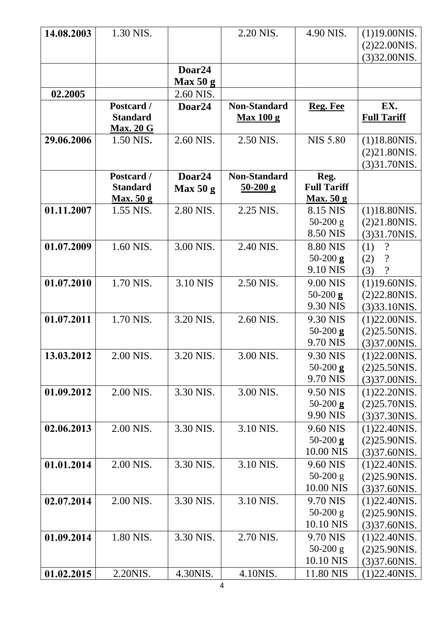| 14.08.2003 | 1.30 NIS.        |                     | 2.20 NIS.                    | 4.90 NIS.               | (1)19.00NIS.                    |
|------------|------------------|---------------------|------------------------------|-------------------------|---------------------------------|
|            |                  |                     |                              |                         | (2)22.00NIS.                    |
|            |                  |                     |                              |                         | (3)32.00NIS.                    |
|            |                  | Doar24              |                              |                         |                                 |
|            |                  | Max 50 g            |                              |                         |                                 |
| 02.2005    | Postcard /       | 2.60 NIS.<br>Doar24 | <b>Non-Standard</b>          | Reg. Fee                | EX.                             |
|            | <b>Standard</b>  |                     | <b>Max 100 g</b>             |                         | <b>Full Tariff</b>              |
|            | <b>Max. 20 G</b> |                     |                              |                         |                                 |
| 29.06.2006 | 1.50 NIS.        | 2.60 NIS.           | 2.50 NIS.                    | <b>NIS 5.80</b>         | (1)18.80NIS.                    |
|            |                  |                     |                              |                         | (2)21.80NIS.                    |
|            |                  |                     |                              |                         | (3)31.70NIS.                    |
|            | Postcard /       | Doar24              | <b>Non-Standard</b>          | Reg.                    |                                 |
|            | <b>Standard</b>  | Max 50 g            | $\frac{50-200 \text{ g}}{2}$ | <b>Full Tariff</b>      |                                 |
|            | <b>Max.</b> 50 g |                     |                              | <b>Max.</b> 50 g        |                                 |
| 01.11.2007 | 1.55 NIS.        | 2.80 NIS.           | 2.25 NIS.                    | 8.15 NIS                | (1)18.80NIS.                    |
|            |                  |                     |                              | $50-200$ g<br>8.50 NIS  | (2)21.80NIS.<br>(3)31.70NIS.    |
| 01.07.2009 | 1.60 NIS.        | 3.00 NIS.           | 2.40 NIS.                    | 8.80 NIS                | (1)<br>$\overline{\mathcal{L}}$ |
|            |                  |                     |                              | $50-200 g$              | $\gamma$<br>(2)                 |
|            |                  |                     |                              | 9.10 NIS                | (3)                             |
| 01.07.2010 | 1.70 NIS.        | 3.10 NIS            | 2.50 NIS.                    | 9.00 NIS                | (1)19.60NIS.                    |
|            |                  |                     |                              | 50-200 $g$              | (2)22.80NIS.                    |
|            |                  |                     |                              | 9.30 NIS                | (3)33.10NIS.                    |
| 01.07.2011 | 1.70 NIS.        | 3.20 NIS.           | 2.60 NIS.                    | 9.30 NIS                | (1)22.00NIS.                    |
|            |                  |                     |                              | 50-200 $g$              | (2)25.50NIS.                    |
|            |                  |                     |                              | 9.70 NIS                | (3)37.00NIS.                    |
| 13.03.2012 | 2.00 NIS         | 3.20 NIS            | 3.00 NIS                     | 9.30 NIS                | (1)22.00NIS                     |
|            |                  |                     |                              | 50-200 $g$              | (2)25.50NIS.                    |
|            |                  |                     |                              | 9.70 NIS                | (3)37.00NIS.                    |
| 01.09.2012 | 2.00 NIS.        | 3.30 NIS.           | 3.00 NIS.                    | 9.50 NIS                | (1)22.20NIS.                    |
|            |                  |                     |                              | $50-200 g$              | (2)25.70NIS.                    |
|            |                  |                     |                              | 9.90 NIS                | (3)37.30NIS.                    |
| 02.06.2013 | 2.00 NIS.        | 3.30 NIS.           | 3.10 NIS.                    | 9.60 NIS                | (1)22.40NIS.                    |
|            |                  |                     |                              | $50-200 g$<br>10.00 NIS | (2)25.90NIS.<br>(3)37.60NIS.    |
| 01.01.2014 | 2.00 NIS.        | 3.30 NIS.           | 3.10 NIS.                    | 9.60 NIS                | (1)22.40NIS.                    |
|            |                  |                     |                              | $50-200$ g              | (2)25.90NIS.                    |
|            |                  |                     |                              | 10.00 NIS               | (3)37.60NIS.                    |
| 02.07.2014 | 2.00 NIS.        | 3.30 NIS.           | 3.10 NIS.                    | 9.70 NIS                | (1)22.40NIS.                    |
|            |                  |                     |                              | $50-200$ g              | (2)25.90NIS.                    |
|            |                  |                     |                              | 10.10 NIS               | (3)37.60NIS.                    |
| 01.09.2014 | 1.80 NIS.        | 3.30 NIS.           | 2.70 NIS.                    | 9.70 NIS                | (1)22.40NIS.                    |
|            |                  |                     |                              | $50-200$ g              | (2)25.90NIS.                    |
|            |                  |                     |                              | 10.10 NIS               | (3)37.60NIS.                    |
| 01.02.2015 | 2.20NIS.         | 4.30NIS.            | 4.10NIS.                     | 11.80 NIS               | (1)22.40NIS.                    |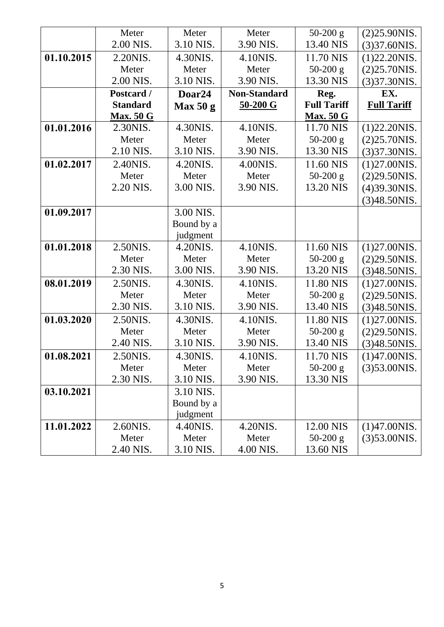|            | Meter            | Meter      | Meter               | $50-200$ g         | (2)25.90NIS.       |
|------------|------------------|------------|---------------------|--------------------|--------------------|
|            | 2.00 NIS.        | 3.10 NIS.  | 3.90 NIS.           | 13.40 NIS          | (3)37.60NIS.       |
| 01.10.2015 | 2.20NIS.         | 4.30NIS.   | 4.10NIS.            | 11.70 NIS          | (1)22.20NIS.       |
|            | Meter            | Meter      | Meter               | $50-200$ g         | (2)25.70NIS.       |
|            | 2.00 NIS.        | 3.10 NIS.  | 3.90 NIS.           | 13.30 NIS          | (3)37.30NIS.       |
|            | Postcard /       | Doar24     | <b>Non-Standard</b> | Reg.               | EX.                |
|            | <b>Standard</b>  | Max 50 g   | $50-200 G$          | <b>Full Tariff</b> | <b>Full Tariff</b> |
|            | <b>Max. 50 G</b> |            |                     | <b>Max. 50 G</b>   |                    |
| 01.01.2016 | 2.30NIS.         | 4.30NIS.   | 4.10NIS.            | 11.70 NIS          | (1)22.20NIS.       |
|            | Meter            | Meter      | Meter               | $50-200$ g         | (2)25.70NIS.       |
|            | 2.10 NIS.        | 3.10 NIS.  | 3.90 NIS.           | 13.30 NIS          | (3)37.30NIS.       |
| 01.02.2017 | 2.40NIS.         | 4.20NIS.   | 4.00NIS.            | 11.60 NIS          | (1)27.00NIS.       |
|            | Meter            | Meter      | Meter               | $50-200$ g         | (2)29.50NIS.       |
|            | 2.20 NIS.        | 3.00 NIS.  | 3.90 NIS.           | 13.20 NIS          | (4)39.30NIS.       |
|            |                  |            |                     |                    | (3)48.50NIS.       |
| 01.09.2017 |                  | 3.00 NIS.  |                     |                    |                    |
|            |                  | Bound by a |                     |                    |                    |
|            |                  | judgment   |                     |                    |                    |
| 01.01.2018 | 2.50NIS.         | 4.20NIS.   | 4.10NIS.            | 11.60 NIS          | (1)27.00NIS.       |
|            | Meter            | Meter      | Meter               | $50-200$ g         | (2)29.50NIS.       |
|            | 2.30 NIS.        | 3.00 NIS.  | 3.90 NIS.           | 13.20 NIS          | (3)48.50NIS.       |
| 08.01.2019 | 2.50NIS.         | 4.30NIS.   | 4.10NIS.            | 11.80 NIS          | (1)27.00NIS.       |
|            | Meter            | Meter      | Meter               | $50-200$ g         | (2)29.50NIS.       |
|            | 2.30 NIS.        | 3.10 NIS.  | 3.90 NIS.           | 13.40 NIS          | (3)48.50NIS.       |
| 01.03.2020 | 2.50NIS.         | 4.30NIS.   | 4.10NIS.            | 11.80 NIS          | (1)27.00NIS.       |
|            | Meter            | Meter      | Meter               | $50-200$ g         | (2)29.50NIS.       |
|            | 2.40 NIS.        | 3.10 NIS.  | 3.90 NIS.           | 13.40 NIS          | (3)48.50NIS.       |
| 01.08.2021 | 2.50NIS          | 4.30NIS    | 4.10NIS             | 11.70 NIS          | (1)47.00NIS.       |
|            | Meter            | Meter      | Meter               | $50-200$ g         | (3)53.00NIS.       |
|            | 2.30 NIS.        | 3.10 NIS.  | 3.90 NIS.           | 13.30 NIS          |                    |
| 03.10.2021 |                  | 3.10 NIS.  |                     |                    |                    |
|            |                  | Bound by a |                     |                    |                    |
|            |                  | judgment   |                     |                    |                    |
| 11.01.2022 | 2.60NIS.         | 4.40NIS.   | 4.20NIS.            | 12.00 NIS          | (1)47.00NIS.       |
|            | Meter            | Meter      | Meter               | $50-200$ g         | (3)53.00NIS.       |
|            | 2.40 NIS.        | 3.10 NIS.  | 4.00 NIS.           | 13.60 NIS          |                    |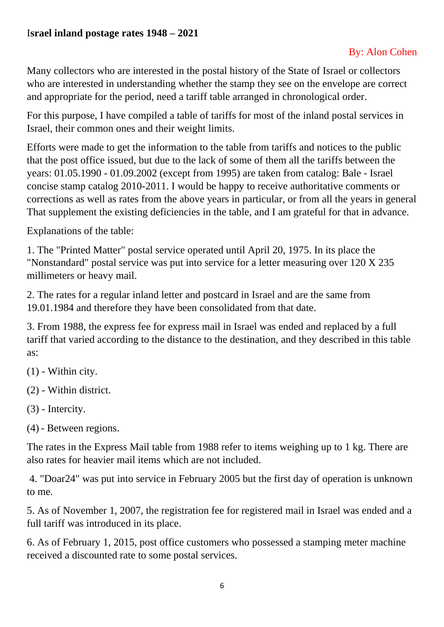## I**srael inland postage rates 1948 – 2021**

## By: Alon Cohen

Many collectors who are interested in the postal history of the State of Israel or collectors who are interested in understanding whether the stamp they see on the envelope are correct and appropriate for the period, need a tariff table arranged in chronological order.

For this purpose, I have compiled a table of tariffs for most of the inland postal services in Israel, their common ones and their weight limits.

Efforts were made to get the information to the table from tariffs and notices to the public that the post office issued, but due to the lack of some of them all the tariffs between the years: 01.05.1990 - 01.09.2002 (except from 1995) are taken from catalog: Bale - Israel concise stamp catalog 2010-2011. I would be happy to receive authoritative comments or corrections as well as rates from the above years in particular, or from all the years in general That supplement the existing deficiencies in the table, and I am grateful for that in advance.

Explanations of the table:

1. The "Printed Matter" postal service operated until April 20, 1975. In its place the "Nonstandard" postal service was put into service for a letter measuring over 120 X 235 millimeters or heavy mail.

2. The rates for a regular inland letter and postcard in Israel and are the same from 19.01.1984 and therefore they have been consolidated from that date.

3. From 1988, the express fee for express mail in Israel was ended and replaced by a full tariff that varied according to the distance to the destination, and they described in this table as:

(1) - Within city.

(2) - Within district.

(3) - Intercity.

(4) - Between regions.

The rates in the Express Mail table from 1988 refer to items weighing up to 1 kg. There are also rates for heavier mail items which are not included.

4. "Doar24" was put into service in February 2005 but the first day of operation is unknown to me.

5. As of November 1, 2007, the registration fee for registered mail in Israel was ended and a full tariff was introduced in its place.

6. As of February 1, 2015, post office customers who possessed a stamping meter machine received a discounted rate to some postal services.